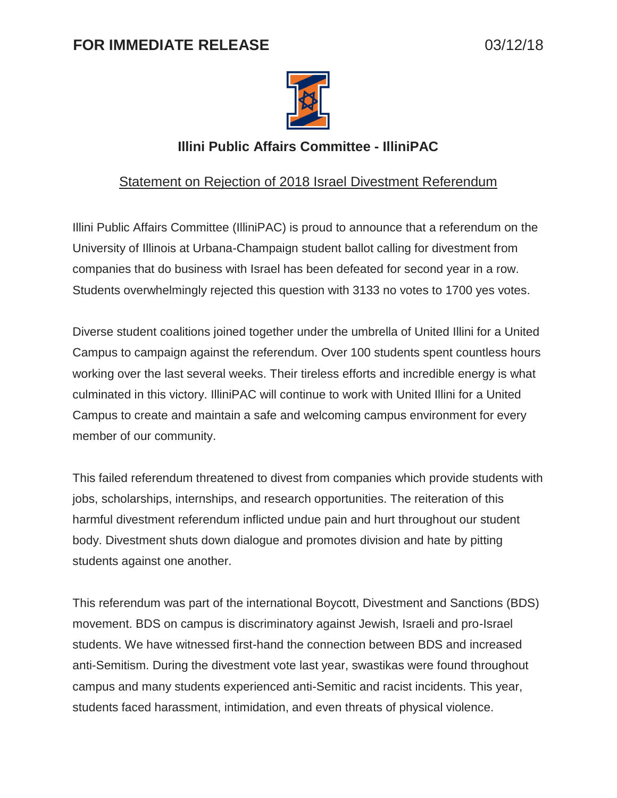## **FOR IMMEDIATE RELEASE** 03/12/18



## **Illini Public Affairs Committee - IlliniPAC**

## Statement on Rejection of 2018 Israel Divestment Referendum

Illini Public Affairs Committee (IlliniPAC) is proud to announce that a referendum on the University of Illinois at Urbana-Champaign student ballot calling for divestment from companies that do business with Israel has been defeated for second year in a row. Students overwhelmingly rejected this question with 3133 no votes to 1700 yes votes.

Diverse student coalitions joined together under the umbrella of United Illini for a United Campus to campaign against the referendum. Over 100 students spent countless hours working over the last several weeks. Their tireless efforts and incredible energy is what culminated in this victory. IlliniPAC will continue to work with United Illini for a United Campus to create and maintain a safe and welcoming campus environment for every member of our community.

This failed referendum threatened to divest from companies which provide students with jobs, scholarships, internships, and research opportunities. The reiteration of this harmful divestment referendum inflicted undue pain and hurt throughout our student body. Divestment shuts down dialogue and promotes division and hate by pitting students against one another.

This referendum was part of the international Boycott, Divestment and Sanctions (BDS) movement. BDS on campus is discriminatory against Jewish, Israeli and pro-Israel students. We have witnessed first-hand the connection between BDS and increased anti-Semitism. During the divestment vote last year, swastikas were found throughout campus and many students experienced anti-Semitic and racist incidents. This year, students faced harassment, intimidation, and even threats of physical violence.